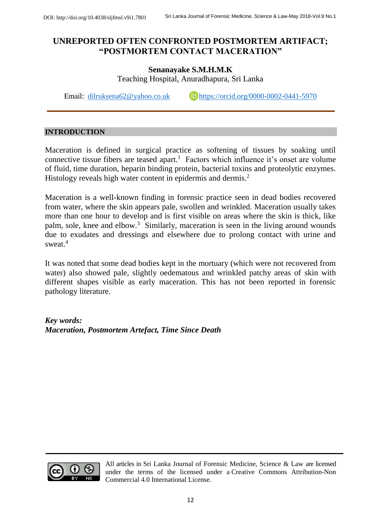# **UNREPORTED OFTEN CONFRONTED POSTMORTEM ARTIFACT; "POSTMORTEM CONTACT MACERATION"**

## **Senanayake S.M.H.M.K** Teaching Hospital, Anuradhapura, Sri Lanka

Email: [dilruksena62@yahoo.co.uk](mailto:dilruksena62@yahoo.co.uk) **<https://orcid.org/0000-0002-0441-5970>** 

### **INTRODUCTION**

Maceration is defined in surgical practice as softening of tissues by soaking until connective tissue fibers are teased apart.<sup>1</sup> Factors which influence it's onset are volume of fluid, time duration, heparin binding protein, bacterial toxins and proteolytic enzymes. Histology reveals high water content in epidermis and dermis.<sup>2</sup>

Maceration is a well-known finding in forensic practice seen in dead bodies recovered from water, where the skin appears pale, swollen and wrinkled. Maceration usually takes more than one hour to develop and is first visible on areas where the skin is thick, like palm, sole, knee and elbow.<sup>3</sup> Similarly, maceration is seen in the living around wounds due to exudates and dressings and elsewhere due to prolong contact with urine and sweat $4$ 

It was noted that some dead bodies kept in the mortuary (which were not recovered from water) also showed pale, slightly oedematous and wrinkled patchy areas of skin with different shapes visible as early maceration. This has not been reported in forensic pathology literature.

*Key words: Maceration, Postmortem Artefact, Time Since Death*



All articles in Sri Lanka Journal of Forensic Medicine, Science & Law are licensed under the terms of the licensed under a [Creative Commons Attribution-Non](http://creativecommons.org/licenses/by-nc/4.0/)  [Commercial 4.0 International License.](http://creativecommons.org/licenses/by-nc/4.0/)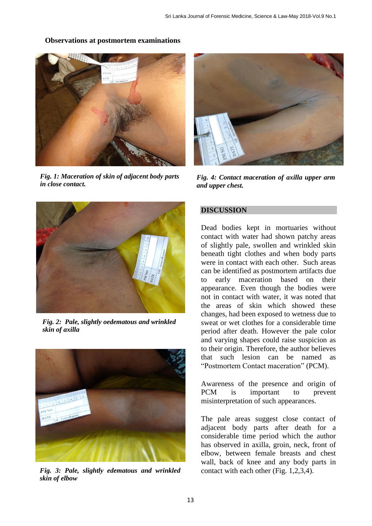#### **Observations at postmortem examinations**



*Fig. 1: Maceration of skin of adjacent body parts in close contact.*



*Fig. 4: Contact maceration of axilla upper arm and upper chest.*



*Fig. 2: Pale, slightly oedematous and wrinkled skin of axilla*



*Fig. 3: Pale, slightly edematous and wrinkled skin of elbow*

#### **DISCUSSION**

Dead bodies kept in mortuaries without contact with water had shown patchy areas of slightly pale, swollen and wrinkled skin beneath tight clothes and when body parts were in contact with each other. Such areas can be identified as postmortem artifacts due to early maceration based on their appearance. Even though the bodies were not in contact with water, it was noted that the areas of skin which showed these changes, had been exposed to wetness due to sweat or wet clothes for a considerable time period after death. However the pale color and varying shapes could raise suspicion as to their origin. Therefore, the author believes that such lesion can be named as "Postmortem Contact maceration" (PCM).

Awareness of the presence and origin of PCM is important to prevent misinterpretation of such appearances.

The pale areas suggest close contact of adjacent body parts after death for a considerable time period which the author has observed in axilla, groin, neck, front of elbow, between female breasts and chest wall, back of knee and any body parts in contact with each other (Fig. 1,2,3,4).